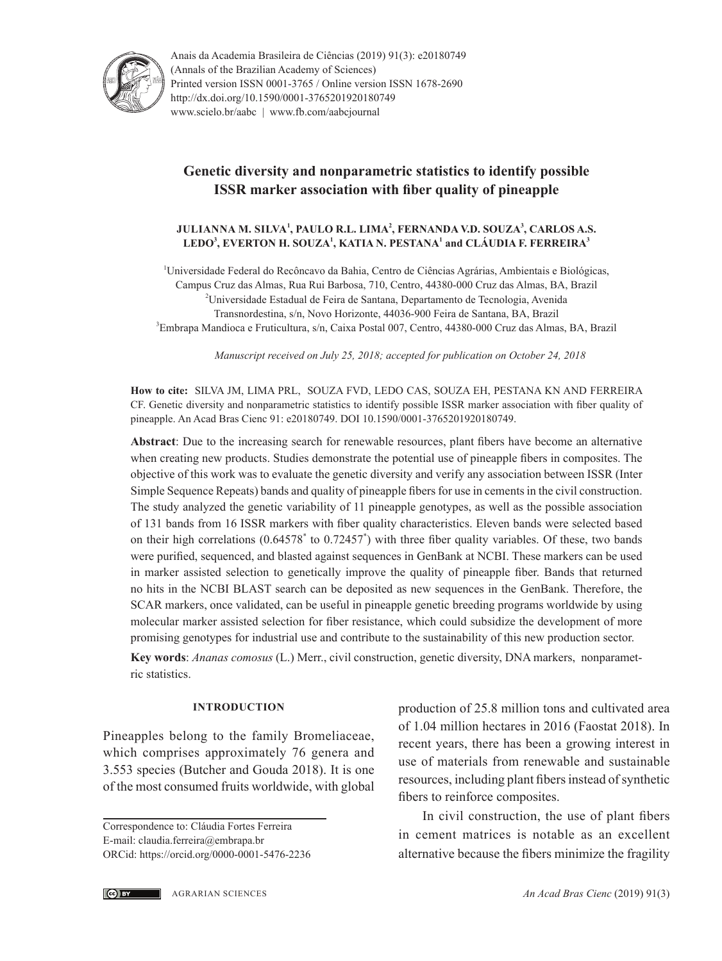

Anais da Academia Brasileira de Ciências (2019) 91(3): e20180749 (Annals of the Brazilian Academy of Sciences) Printed version ISSN 0001-3765 / Online version ISSN 1678-2690 http://dx.doi.org/10.1590/0001-3765201920180749 www.scielo.br/aabc | www.fb.com/aabcjournal

# **Genetic diversity and nonparametric statistics to identify possible ISSR marker association with fiber quality of pineapple**

### **JULIANNA M. SILVA<sup>1</sup> , PAULO R.L. LIMA<sup>2</sup> , FERNANDA V.D. SOUZA<sup>3</sup> , CARLOS A.S. LEDO3 , EVERTON H. SOUZA<sup>1</sup> , KATIA N. PESTANA<sup>1</sup> and CLÁUDIA F. FERREIRA<sup>3</sup>**

1 Universidade Federal do Recôncavo da Bahia, Centro de Ciências Agrárias, Ambientais e Biológicas, Campus Cruz das Almas, Rua Rui Barbosa, 710, Centro, 44380-000 Cruz das Almas, BA, Brazil <sup>2</sup>Universidade Estadual de Feira de Santana, Departamento de Tecnologia, Avenida Transnordestina, s/n, Novo Horizonte, 44036-900 Feira de Santana, BA, Brazil 3 Embrapa Mandioca e Fruticultura, s/n, Caixa Postal 007, Centro, 44380-000 Cruz das Almas, BA, Brazil

*Manuscript received on July 25, 2018; accepted for publication on October 24, 2018*

**How to cite:** SILVA JM, LIMA PRL, SOUZA FVD, LEDO CAS, SOUZA EH, PESTANA KN AND FERREIRA CF. Genetic diversity and nonparametric statistics to identify possible ISSR marker association with fiber quality of pineapple. An Acad Bras Cienc 91: e20180749. DOI 10.1590/0001-3765201920180749.

**Abstract**: Due to the increasing search for renewable resources, plant fibers have become an alternative when creating new products. Studies demonstrate the potential use of pineapple fibers in composites. The objective of this work was to evaluate the genetic diversity and verify any association between ISSR (Inter Simple Sequence Repeats) bands and quality of pineapple fibers for use in cements in the civil construction. The study analyzed the genetic variability of 11 pineapple genotypes, as well as the possible association of 131 bands from 16 ISSR markers with fiber quality characteristics. Eleven bands were selected based on their high correlations (0.64578<sup>\*</sup> to 0.72457<sup>\*</sup>) with three fiber quality variables. Of these, two bands were purified, sequenced, and blasted against sequences in GenBank at NCBI. These markers can be used in marker assisted selection to genetically improve the quality of pineapple fiber. Bands that returned no hits in the NCBI BLAST search can be deposited as new sequences in the GenBank. Therefore, the SCAR markers, once validated, can be useful in pineapple genetic breeding programs worldwide by using molecular marker assisted selection for fiber resistance, which could subsidize the development of more promising genotypes for industrial use and contribute to the sustainability of this new production sector.

**Key words**: *Ananas comosus* (L.) Merr., civil construction, genetic diversity, DNA markers, nonparametric statistics.

#### **INTRODUCTION**

Pineapples belong to the family Bromeliaceae, which comprises approximately 76 genera and 3.553 species (Butcher and Gouda 2018). It is one of the most consumed fruits worldwide, with global production of 25.8 million tons and cultivated area of 1.04 million hectares in 2016 (Faostat 2018). In recent years, there has been a growing interest in use of materials from renewable and sustainable resources, including plant fibers instead of synthetic fibers to reinforce composites.

In civil construction, the use of plant fibers in cement matrices is notable as an excellent alternative because the fibers minimize the fragility

Correspondence to: Cláudia Fortes Ferreira E-mail: claudia.ferreira@embrapa.br ORCid: https://orcid.org[/0000-0001-5476-2236](https://orcid.org/0000-0001-5476-2236)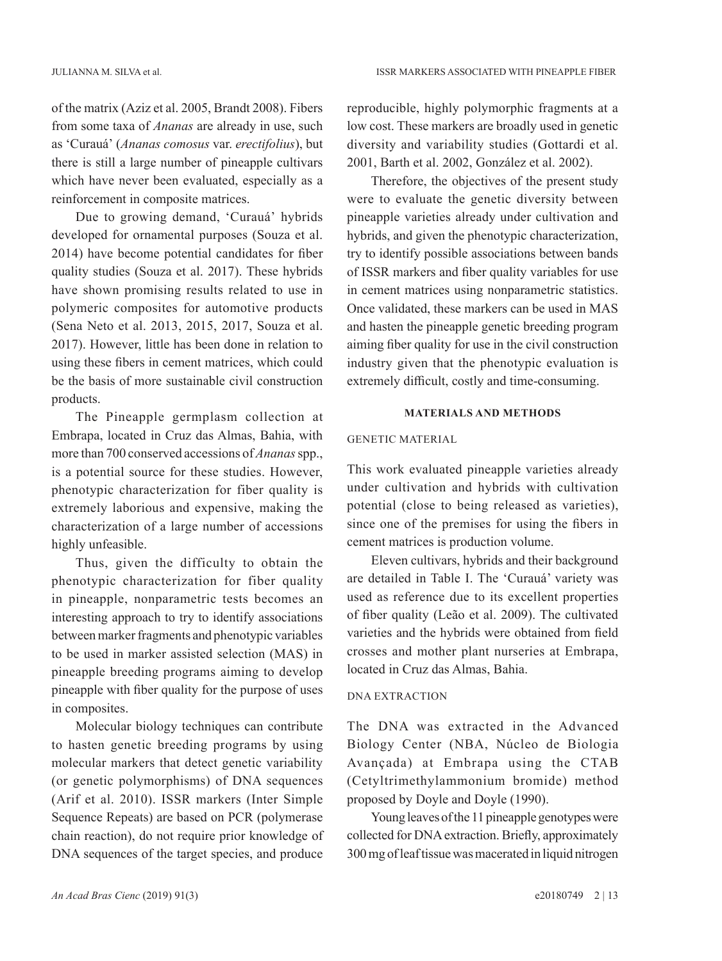of the matrix (Aziz et al. 2005, Brandt 2008). Fibers from some taxa of *Ananas* are already in use, such as 'Curauá' (*Ananas comosus* var. *erectifolius*), but there is still a large number of pineapple cultivars which have never been evaluated, especially as a reinforcement in composite matrices.

Due to growing demand, 'Curauá' hybrids developed for ornamental purposes (Souza et al. 2014) have become potential candidates for fiber quality studies (Souza et al. 2017). These hybrids have shown promising results related to use in polymeric composites for automotive products (Sena Neto et al. 2013, 2015, 2017, Souza et al. 2017). However, little has been done in relation to using these fibers in cement matrices, which could be the basis of more sustainable civil construction products.

The Pineapple germplasm collection at Embrapa, located in Cruz das Almas, Bahia, with more than 700 conserved accessions of *Ananas* spp., is a potential source for these studies. However, phenotypic characterization for fiber quality is extremely laborious and expensive, making the characterization of a large number of accessions highly unfeasible.

Thus, given the difficulty to obtain the phenotypic characterization for fiber quality in pineapple, nonparametric tests becomes an interesting approach to try to identify associations between marker fragments and phenotypic variables to be used in marker assisted selection (MAS) in pineapple breeding programs aiming to develop pineapple with fiber quality for the purpose of uses in composites.

Molecular biology techniques can contribute to hasten genetic breeding programs by using molecular markers that detect genetic variability (or genetic polymorphisms) of DNA sequences (Arif et al. 2010). ISSR markers (Inter Simple Sequence Repeats) are based on PCR (polymerase chain reaction), do not require prior knowledge of DNA sequences of the target species, and produce

reproducible, highly polymorphic fragments at a low cost. These markers are broadly used in genetic diversity and variability studies (Gottardi et al. 2001, Barth et al. 2002, González et al. 2002).

Therefore, the objectives of the present study were to evaluate the genetic diversity between pineapple varieties already under cultivation and hybrids, and given the phenotypic characterization, try to identify possible associations between bands of ISSR markers and fiber quality variables for use in cement matrices using nonparametric statistics. Once validated, these markers can be used in MAS and hasten the pineapple genetic breeding program aiming fiber quality for use in the civil construction industry given that the phenotypic evaluation is extremely difficult, costly and time-consuming.

#### **MATERIALS AND METHODS**

#### GENETIC MATERIAL

This work evaluated pineapple varieties already under cultivation and hybrids with cultivation potential (close to being released as varieties), since one of the premises for using the fibers in cement matrices is production volume.

Eleven cultivars, hybrids and their background are detailed in Table I. The 'Curauá' variety was used as reference due to its excellent properties of fiber quality (Leão et al. 2009). The cultivated varieties and the hybrids were obtained from field crosses and mother plant nurseries at Embrapa, located in Cruz das Almas, Bahia.

#### DNA EXTRACTION

The DNA was extracted in the Advanced Biology Center (NBA, Núcleo de Biologia Avançada) at Embrapa using the CTAB (Cetyltrimethylammonium bromide) method proposed by Doyle and Doyle (1990).

Young leaves of the 11 pineapple genotypes were collected for DNA extraction. Briefly, approximately 300 mg of leaf tissue was macerated in liquid nitrogen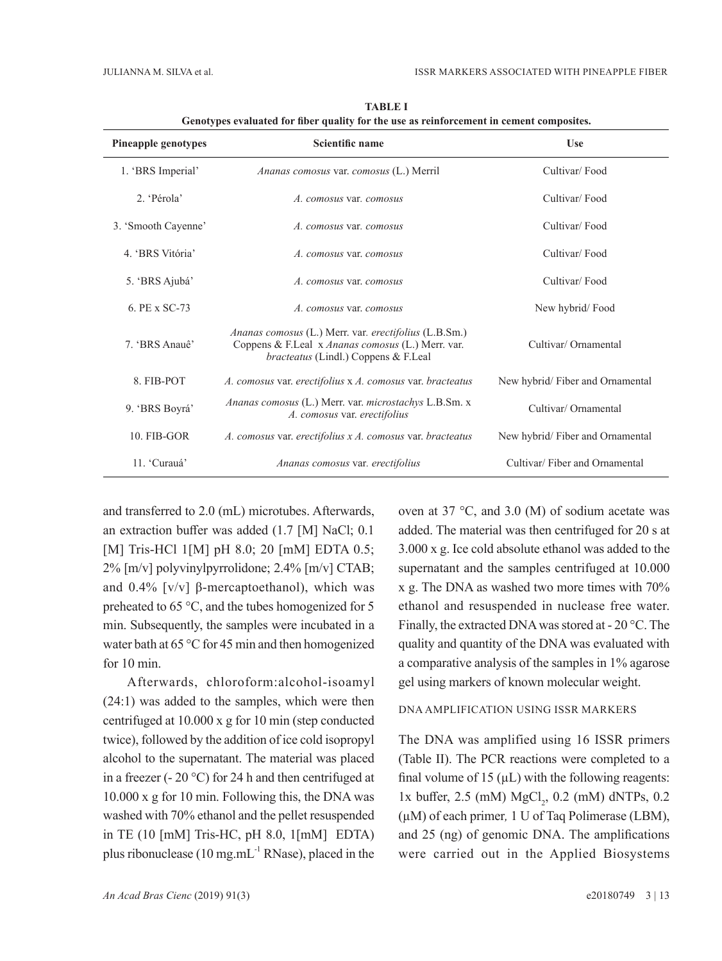| <b>Pineapple genotypes</b> | Scientific name                                                                                                                                                                   | <b>Use</b>                       |
|----------------------------|-----------------------------------------------------------------------------------------------------------------------------------------------------------------------------------|----------------------------------|
| 1. 'BRS Imperial'          | Ananas comosus var. comosus (L.) Merril                                                                                                                                           | Cultivar/Food                    |
| 2. 'Pérola'                | A. comosus var. comosus                                                                                                                                                           | Cultivar/Food                    |
| 3. 'Smooth Cayenne'        | A. comosus var. comosus                                                                                                                                                           | Cultivar/Food                    |
| 4. 'BRS Vitória'           | A. comosus var. comosus                                                                                                                                                           | Cultivar/Food                    |
| 5. 'BRS Ajubá'             | A. comosus var. comosus                                                                                                                                                           | Cultivar/Food                    |
| 6. PE x SC-73              | A. comosus var. comosus                                                                                                                                                           | New hybrid/Food                  |
| 7. 'BRS Anauê'             | Ananas comosus (L.) Merr. var. erectifolius (L.B.Sm.)<br>Cultivar/ Ornamental<br>Coppens & F.Leal x Ananas comosus (L.) Merr. var.<br><i>bracteatus</i> (Lindl.) Coppens & F.Leal |                                  |
| 8. FIB-POT                 | A. comosus var. erectifolius x A. comosus var. bracteatus                                                                                                                         | New hybrid/ Fiber and Ornamental |
| 9. 'BRS Boyrá'             | Ananas comosus (L.) Merr. var. microstachys L.B.Sm. x<br>A. comosus var. erectifolius                                                                                             | Cultivar/Ornamental              |
| 10. FIB-GOR                | A. comosus var. erectifolius x A. comosus var. bracteatus                                                                                                                         | New hybrid/Fiber and Ornamental  |
| 11. 'Curauá'               | Ananas comosus var. erectifolius                                                                                                                                                  | Cultivar/Fiber and Ornamental    |

**TABLE I Genotypes evaluated for fiber quality for the use as reinforcement in cement composites.**

and transferred to 2.0 (mL) microtubes. Afterwards, an extraction buffer was added (1.7 [M] NaCl; 0.1 [M] Tris-HCl 1[M] pH 8.0; 20 [mM] EDTA 0.5; 2% [m/v] polyvinylpyrrolidone; 2.4% [m/v] CTAB; and 0.4% [ $v/v$ ] β-mercaptoethanol), which was preheated to 65 °C, and the tubes homogenized for 5 min. Subsequently, the samples were incubated in a water bath at 65 °C for 45 min and then homogenized for 10 min.

Afterwards, chloroform:alcohol-isoamyl (24:1) was added to the samples, which were then centrifuged at 10.000 x g for 10 min (step conducted twice), followed by the addition of ice cold isopropyl alcohol to the supernatant. The material was placed in a freezer (- 20 °C) for 24 h and then centrifuged at 10.000 x g for 10 min. Following this, the DNA was washed with 70% ethanol and the pellet resuspended in TE (10 [mM] Tris-HC, pH 8.0, 1[mM] EDTA) plus ribonuclease (10 mg.mL $^{-1}$  RNase), placed in the oven at 37 °C, and 3.0 (M) of sodium acetate was added. The material was then centrifuged for 20 s at 3.000 x g. Ice cold absolute ethanol was added to the supernatant and the samples centrifuged at 10.000 x g. The DNA as washed two more times with 70% ethanol and resuspended in nuclease free water. Finally, the extracted DNA was stored at - 20 °C. The quality and quantity of the DNA was evaluated with a comparative analysis of the samples in 1% agarose gel using markers of known molecular weight.

## DNA AMPLIFICATION USING ISSR MARKERS

The DNA was amplified using 16 ISSR primers (Table II). The PCR reactions were completed to a final volume of 15  $(\mu L)$  with the following reagents:  $1x$  buffer, 2.5 (mM)  $MgCl_2$ , 0.2 (mM) dNTPs, 0.2 (µM) of each primer*,* 1 U of Taq Polimerase (LBM), and 25 (ng) of genomic DNA. The amplifications were carried out in the Applied Biosystems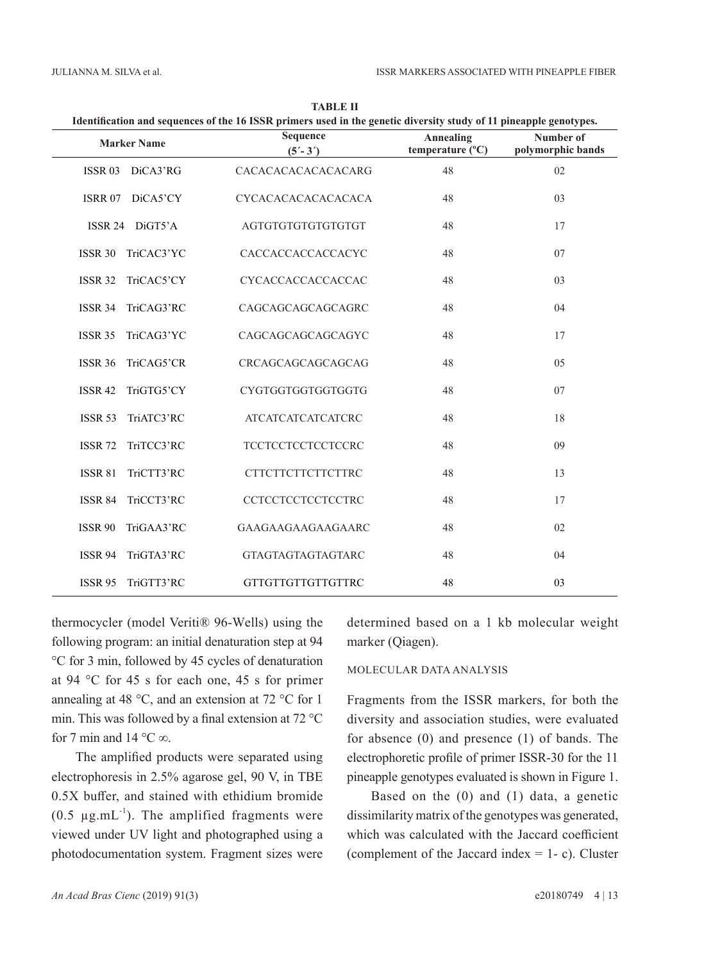| Identification and sequences of the 16 ISSR primers used in the genetic diversity study of 11 pineapple genotypes. |                           |                               |                                |
|--------------------------------------------------------------------------------------------------------------------|---------------------------|-------------------------------|--------------------------------|
| <b>Marker Name</b>                                                                                                 | Sequence<br>$(5' - 3')$   | Annealing<br>temperature (°C) | Number of<br>polymorphic bands |
| <b>ISSR 03</b><br>DiCA3'RG                                                                                         | CACACACACACACACARG        | 48                            | 02                             |
| <b>ISRR 07</b><br>DiCA5'CY                                                                                         | <b>CYCACACACACACACACA</b> | 48                            | 03                             |
| ISSR 24 DiGT5'A                                                                                                    | AGTGTGTGTGTGTGTGTGT       | 48                            | 17                             |
| <b>ISSR 30</b><br>TriCAC3'YC                                                                                       | CACCACCACCACCACYC         | 48                            | 07                             |
| <b>ISSR 32</b><br>TriCAC5'CY                                                                                       | CYCACCACCACCACCAC         | 48                            | 03                             |
| TriCAG3'RC<br><b>ISSR 34</b>                                                                                       | CAGCAGCAGCAGCAGRC         | 48                            | 04                             |
| <b>ISSR 35</b><br>TriCAG3'YC                                                                                       | CAGCAGCAGCAGCAGYC         | 48                            | 17                             |
| <b>ISSR 36</b><br>TriCAG5'CR                                                                                       | CRCAGCAGCAGCAGCAG         | 48                            | 05                             |
| TriGTG5'CY<br><b>ISSR 42</b>                                                                                       | CYGTGGTGGTGGTGGTG         | 48                            | 07                             |
| <b>ISSR 53</b><br>TriATC3'RC                                                                                       | <b>ATCATCATCATCATCRC</b>  | 48                            | 18                             |
| <b>ISSR 72</b><br>TriTCC3'RC                                                                                       | <b>TCCTCCTCCTCCTCCRC</b>  | 48                            | 09                             |
| <b>ISSR 81</b><br>TriCTT3'RC                                                                                       | <b>CTTCTTCTTCTTCTTRC</b>  | 48                            | 13                             |
| <b>ISSR 84</b><br>TriCCT3'RC                                                                                       | <b>CCTCCTCCTCCTCCTRC</b>  | 48                            | 17                             |
| <b>ISSR 90</b><br>TriGAA3'RC                                                                                       | GAAGAAGAAGAAGAARC         | 48                            | 02                             |
| <b>ISSR 94</b><br>TriGTA3'RC                                                                                       | <b>GTAGTAGTAGTAGTARC</b>  | 48                            | 04                             |
| TriGTT3'RC<br><b>ISSR 95</b>                                                                                       | <b>GTTGTTGTTGTTGTTRC</b>  | 48                            | 03                             |

**TABLE II**

thermocycler (model Veriti® 96-Wells) using the following program: an initial denaturation step at 94 °C for 3 min, followed by 45 cycles of denaturation at 94 °C for 45 s for each one, 45 s for primer annealing at 48 °C, and an extension at 72 °C for 1 min. This was followed by a final extension at 72 °C for 7 min and 14  $^{\circ}$ C $\infty$ .

The amplified products were separated using electrophoresis in 2.5% agarose gel, 90 V, in TBE 0.5X buffer, and stained with ethidium bromide (0.5  $\mu$ g.mL<sup>-1</sup>). The amplified fragments were viewed under UV light and photographed using a photodocumentation system. Fragment sizes were determined based on a 1 kb molecular weight marker (Qiagen).

### MOLECULAR DATA ANALYSIS

Fragments from the ISSR markers, for both the diversity and association studies, were evaluated for absence (0) and presence (1) of bands. The electrophoretic profile of primer ISSR-30 for the 11 pineapple genotypes evaluated is shown in Figure 1.

Based on the (0) and (1) data, a genetic dissimilarity matrix of the genotypes was generated, which was calculated with the Jaccard coefficient (complement of the Jaccard index  $= 1 - c$ ). Cluster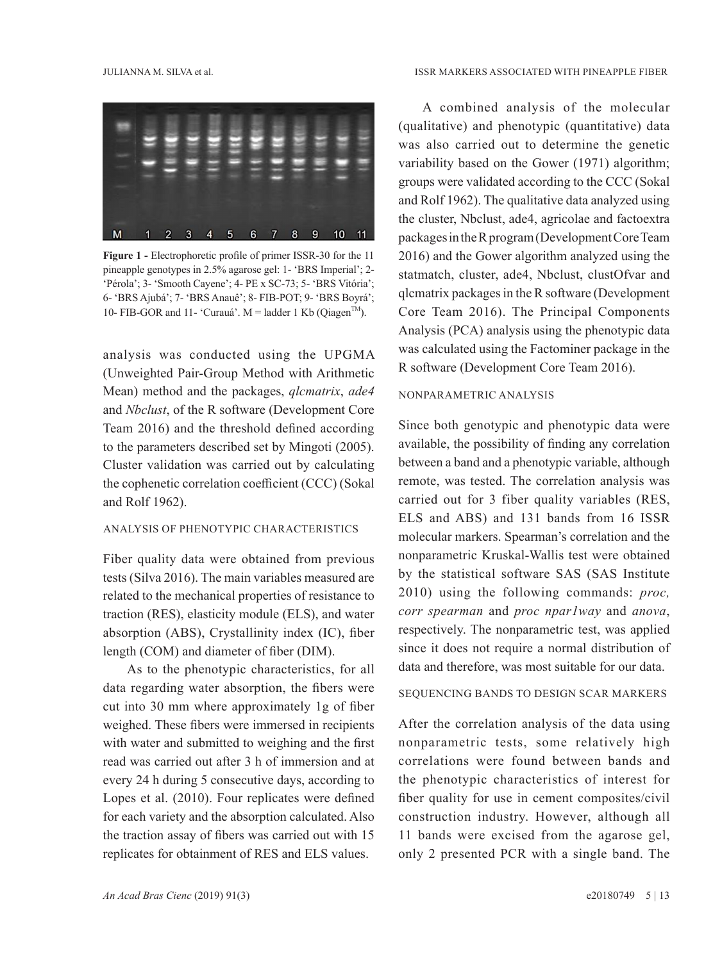

**Figure 1 -** Electrophoretic profile of primer ISSR-30 for the 11 pineapple genotypes in 2.5% agarose gel: 1- 'BRS Imperial'; 2- 'Pérola'; 3- 'Smooth Cayene'; 4- PE x SC-73; 5- 'BRS Vitória'; 6- 'BRS Ajubá'; 7- 'BRS Anauê'; 8- FIB-POT; 9- 'BRS Boyrá'; 10- FIB-GOR and 11- 'Curauá'. M = ladder 1 Kb (Qiagen<sup>TM</sup>).

analysis was conducted using the UPGMA (Unweighted Pair-Group Method with Arithmetic Mean) method and the packages, *qlcmatrix*, *ade4* and *Nbclust*, of the R software (Development Core Team 2016) and the threshold defined according to the parameters described set by Mingoti (2005). Cluster validation was carried out by calculating the cophenetic correlation coefficient (CCC) (Sokal and Rolf 1962).

### ANALYSIS OF PHENOTYPIC CHARACTERISTICS

Fiber quality data were obtained from previous tests (Silva 2016). The main variables measured are related to the mechanical properties of resistance to traction (RES), elasticity module (ELS), and water absorption (ABS), Crystallinity index (IC), fiber length (COM) and diameter of fiber (DIM).

As to the phenotypic characteristics, for all data regarding water absorption, the fibers were cut into 30 mm where approximately 1g of fiber weighed. These fibers were immersed in recipients with water and submitted to weighing and the first read was carried out after 3 h of immersion and at every 24 h during 5 consecutive days, according to Lopes et al. (2010). Four replicates were defined for each variety and the absorption calculated. Also the traction assay of fibers was carried out with 15 replicates for obtainment of RES and ELS values.

A combined analysis of the molecular (qualitative) and phenotypic (quantitative) data was also carried out to determine the genetic variability based on the Gower (1971) algorithm; groups were validated according to the CCC (Sokal and Rolf 1962). The qualitative data analyzed using the cluster, Nbclust, ade4, agricolae and factoextra packages in the R program (Development Core Team 2016) and the Gower algorithm analyzed using the statmatch, cluster, ade4, Nbclust, clustOfvar and qlcmatrix packages in the R software (Development Core Team 2016). The Principal Components Analysis (PCA) analysis using the phenotypic data was calculated using the Factominer package in the R software (Development Core Team 2016).

#### NONPARAMETRIC ANALYSIS

Since both genotypic and phenotypic data were available, the possibility of finding any correlation between a band and a phenotypic variable, although remote, was tested. The correlation analysis was carried out for 3 fiber quality variables (RES, ELS and ABS) and 131 bands from 16 ISSR molecular markers. Spearman's correlation and the nonparametric Kruskal-Wallis test were obtained by the statistical software SAS (SAS Institute 2010) using the following commands: *proc, corr spearman* and *proc npar1way* and *anova*, respectively. The nonparametric test, was applied since it does not require a normal distribution of data and therefore, was most suitable for our data.

### SEQUENCING BANDS TO DESIGN SCAR MARKERS

After the correlation analysis of the data using nonparametric tests, some relatively high correlations were found between bands and the phenotypic characteristics of interest for fiber quality for use in cement composites/civil construction industry. However, although all 11 bands were excised from the agarose gel, only 2 presented PCR with a single band. The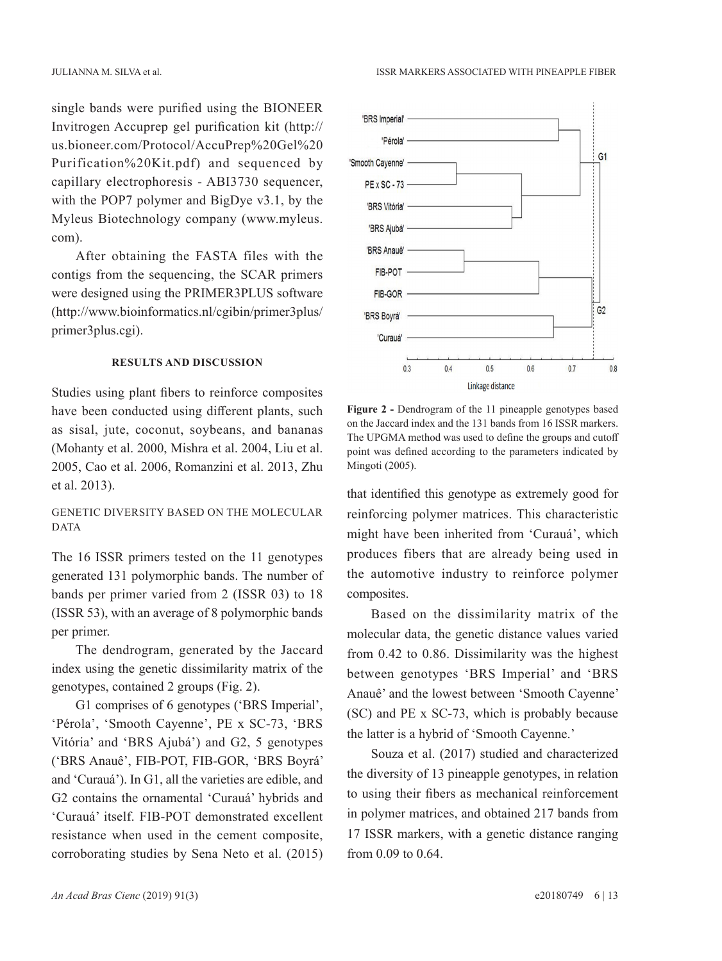single bands were purified using the BIONEER Invitrogen Accuprep gel purification kit (http:// us.bioneer.com/Protocol/AccuPrep%20Gel%20 Purification%20Kit.pdf) and sequenced by capillary electrophoresis - ABI3730 sequencer, with the POP7 polymer and BigDye v3.1, by the Myleus Biotechnology company [\(www.myleus.](http://www.myleus.com/) [com\)](http://www.myleus.com/).

After obtaining the FASTA files with the contigs from the sequencing, the SCAR primers were designed using the PRIMER3PLUS software [\(http://www.bioinformatics.nl/cgibin/primer3plus/](http://www.bioinformatics.nl/cgibin/primer3plus/primer3plus.cgi) [primer3plus.cgi\)](http://www.bioinformatics.nl/cgibin/primer3plus/primer3plus.cgi).

#### **RESULTS AND DISCUSSION**

Studies using plant fibers to reinforce composites have been conducted using different plants, such as sisal, jute, coconut, soybeans, and bananas (Mohanty et al. 2000, Mishra et al. 2004, Liu et al. 2005, Cao et al. 2006, Romanzini et al. 2013, Zhu et al. 2013).

### GENETIC DIVERSITY BASED ON THE MOLECULAR DATA

The 16 ISSR primers tested on the 11 genotypes generated 131 polymorphic bands. The number of bands per primer varied from 2 (ISSR 03) to 18 (ISSR 53), with an average of 8 polymorphic bands per primer.

The dendrogram, generated by the Jaccard index using the genetic dissimilarity matrix of the genotypes, contained 2 groups (Fig. 2).

G1 comprises of 6 genotypes ('BRS Imperial', 'Pérola', 'Smooth Cayenne', PE x SC-73, 'BRS Vitória' and 'BRS Ajubá') and G2, 5 genotypes ('BRS Anauê', FIB-POT, FIB-GOR, 'BRS Boyrá' and 'Curauá'). In G1, all the varieties are edible, and G2 contains the ornamental 'Curauá' hybrids and 'Curauá' itself. FIB-POT demonstrated excellent resistance when used in the cement composite, corroborating studies by Sena Neto et al. (2015)



**Figure 2 -** Dendrogram of the 11 pineapple genotypes based on the Jaccard index and the 131 bands from 16 ISSR markers. The UPGMA method was used to define the groups and cutoff point was defined according to the parameters indicated by Mingoti (2005).

that identified this genotype as extremely good for reinforcing polymer matrices. This characteristic might have been inherited from 'Curauá', which produces fibers that are already being used in the automotive industry to reinforce polymer composites.

Based on the dissimilarity matrix of the molecular data, the genetic distance values varied from 0.42 to 0.86. Dissimilarity was the highest between genotypes 'BRS Imperial' and 'BRS Anauê' and the lowest between 'Smooth Cayenne' (SC) and PE x SC-73, which is probably because the latter is a hybrid of 'Smooth Cayenne.'

Souza et al. (2017) studied and characterized the diversity of 13 pineapple genotypes, in relation to using their fibers as mechanical reinforcement in polymer matrices, and obtained 217 bands from 17 ISSR markers, with a genetic distance ranging from 0.09 to 0.64.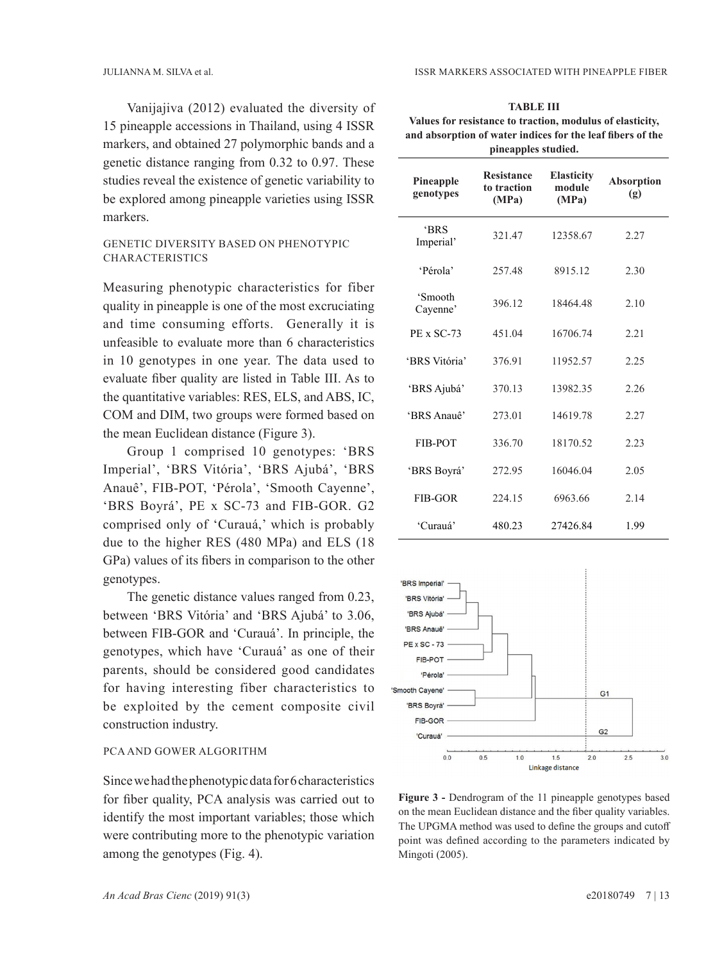Vanijajiva (2012) evaluated the diversity of 15 pineapple accessions in Thailand, using 4 ISSR markers, and obtained 27 polymorphic bands and a genetic distance ranging from 0.32 to 0.97. These studies reveal the existence of genetic variability to be explored among pineapple varieties using ISSR markers.

### GENETIC DIVERSITY BASED ON PHENOTYPIC CHARACTERISTICS

Measuring phenotypic characteristics for fiber quality in pineapple is one of the most excruciating and time consuming efforts. Generally it is unfeasible to evaluate more than 6 characteristics in 10 genotypes in one year. The data used to evaluate fiber quality are listed in Table III. As to the quantitative variables: RES, ELS, and ABS, IC, COM and DIM, two groups were formed based on the mean Euclidean distance (Figure 3).

Group 1 comprised 10 genotypes: 'BRS Imperial', 'BRS Vitória', 'BRS Ajubá', 'BRS Anauê', FIB-POT, 'Pérola', 'Smooth Cayenne', 'BRS Boyrá', PE x SC-73 and FIB-GOR. G2 comprised only of 'Curauá,' which is probably due to the higher RES (480 MPa) and ELS (18 GPa) values of its fibers in comparison to the other genotypes.

The genetic distance values ranged from 0.23, between 'BRS Vitória' and 'BRS Ajubá' to 3.06, between FIB-GOR and 'Curauá'. In principle, the genotypes, which have 'Curauá' as one of their parents, should be considered good candidates for having interesting fiber characteristics to be exploited by the cement composite civil construction industry.

#### PCA AND GOWER ALGORITHM

Since we had the phenotypic data for 6 characteristics for fiber quality, PCA analysis was carried out to identify the most important variables; those which were contributing more to the phenotypic variation among the genotypes (Fig. 4).

| тавьств                                                    |
|------------------------------------------------------------|
| Values for resistance to traction, modulus of elasticity,  |
| and absorption of water indices for the leaf fibers of the |
| pineapples studied.                                        |

**TABLE III** 

| Pineapple<br>genotypes  | <b>Resistance</b><br>to traction<br>(MPa) | <b>Elasticity</b><br>module<br>(MPa) | <b>Absorption</b><br>(g) |
|-------------------------|-------------------------------------------|--------------------------------------|--------------------------|
| <b>BRS</b><br>Imperial' | 321.47                                    | 12358.67                             | 2.27                     |
| 'Pérola'                | 257.48                                    | 8915.12                              | 2.30                     |
| 'Smooth<br>Cayenne'     | 396.12                                    | 18464.48                             | 2.10                     |
| <b>PE x SC-73</b>       | 451.04                                    | 16706.74                             | 2.21                     |
| 'BRS Vitória'           | 376.91                                    | 11952.57                             | 2.25                     |
| 'BRS Ajubá'             | 370.13                                    | 13982.35                             | 2.26                     |
| 'BRS Anauê'             | 273.01                                    | 14619.78                             | 2.27                     |
| <b>FIB-POT</b>          | 336.70                                    | 18170.52                             | 2.23                     |
| 'BRS Boyrá'             | 272.95                                    | 16046.04                             | 2.05                     |
| FIB-GOR                 | 224.15                                    | 6963.66                              | 2.14                     |
| 'Curauá'                | 480.23                                    | 27426.84                             | 1.99                     |



**Figure 3 -** Dendrogram of the 11 pineapple genotypes based on the mean Euclidean distance and the fiber quality variables. The UPGMA method was used to define the groups and cutoff point was defined according to the parameters indicated by Mingoti (2005).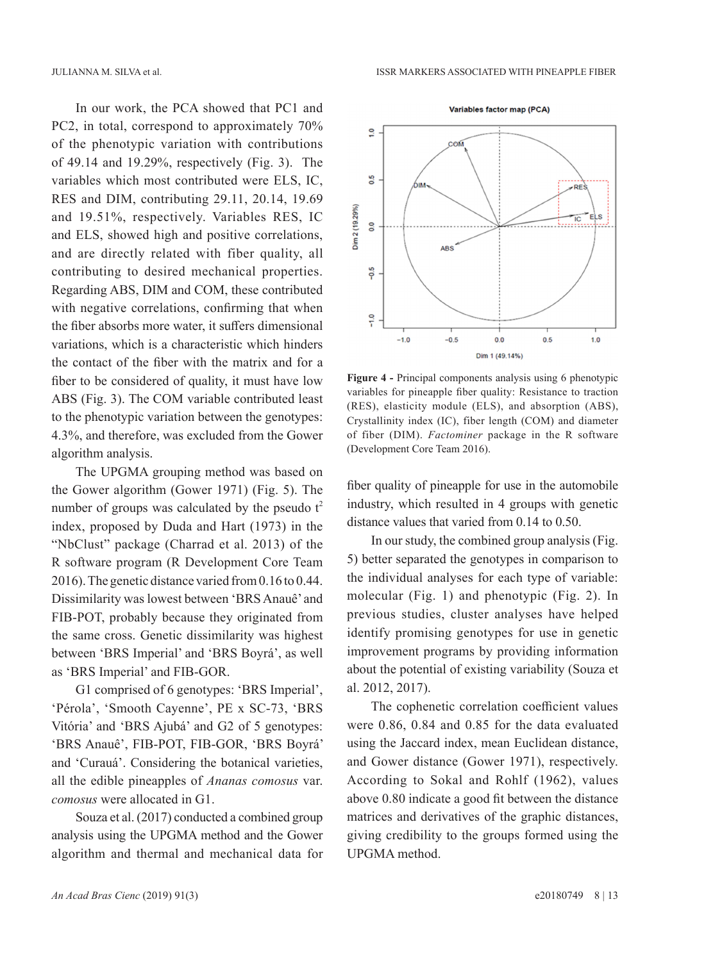In our work, the PCA showed that PC1 and PC2, in total, correspond to approximately 70% of the phenotypic variation with contributions of 49.14 and 19.29%, respectively (Fig. 3). The variables which most contributed were ELS, IC, RES and DIM, contributing 29.11, 20.14, 19.69 and 19.51%, respectively. Variables RES, IC and ELS, showed high and positive correlations, and are directly related with fiber quality, all contributing to desired mechanical properties. Regarding ABS, DIM and COM, these contributed with negative correlations, confirming that when the fiber absorbs more water, it suffers dimensional variations, which is a characteristic which hinders the contact of the fiber with the matrix and for a fiber to be considered of quality, it must have low ABS (Fig. 3). The COM variable contributed least to the phenotypic variation between the genotypes: 4.3%, and therefore, was excluded from the Gower algorithm analysis.

The UPGMA grouping method was based on the Gower algorithm (Gower 1971) (Fig. 5). The number of groups was calculated by the pseudo  $t^2$ index, proposed by Duda and Hart (1973) in the "NbClust" package (Charrad et al. 2013) of the R software program (R Development Core Team 2016). The genetic distance varied from 0.16 to 0.44. Dissimilarity was lowest between 'BRS Anauê' and FIB-POT, probably because they originated from the same cross. Genetic dissimilarity was highest between 'BRS Imperial' and 'BRS Boyrá', as well as 'BRS Imperial' and FIB-GOR.

G1 comprised of 6 genotypes: 'BRS Imperial', 'Pérola', 'Smooth Cayenne', PE x SC-73, 'BRS Vitória' and 'BRS Ajubá' and G2 of 5 genotypes: 'BRS Anauê', FIB-POT, FIB-GOR, 'BRS Boyrá' and 'Curauá'. Considering the botanical varieties, all the edible pineapples of *Ananas comosus* var. *comosus* were allocated in G1.

Souza et al. (2017) conducted a combined group analysis using the UPGMA method and the Gower algorithm and thermal and mechanical data for



**Figure 4 -** Principal components analysis using 6 phenotypic variables for pineapple fiber quality: Resistance to traction (RES), elasticity module (ELS), and absorption (ABS), Crystallinity index (IC), fiber length (COM) and diameter of fiber (DIM). *Factominer* package in the R software (Development Core Team 2016).

fiber quality of pineapple for use in the automobile industry, which resulted in 4 groups with genetic distance values that varied from 0.14 to 0.50.

In our study, the combined group analysis (Fig. 5) better separated the genotypes in comparison to the individual analyses for each type of variable: molecular (Fig. 1) and phenotypic (Fig. 2). In previous studies, cluster analyses have helped identify promising genotypes for use in genetic improvement programs by providing information about the potential of existing variability (Souza et al. 2012, 2017).

The cophenetic correlation coefficient values were 0.86, 0.84 and 0.85 for the data evaluated using the Jaccard index, mean Euclidean distance, and Gower distance (Gower 1971), respectively. According to Sokal and Rohlf (1962), values above 0.80 indicate a good fit between the distance matrices and derivatives of the graphic distances, giving credibility to the groups formed using the UPGMA method.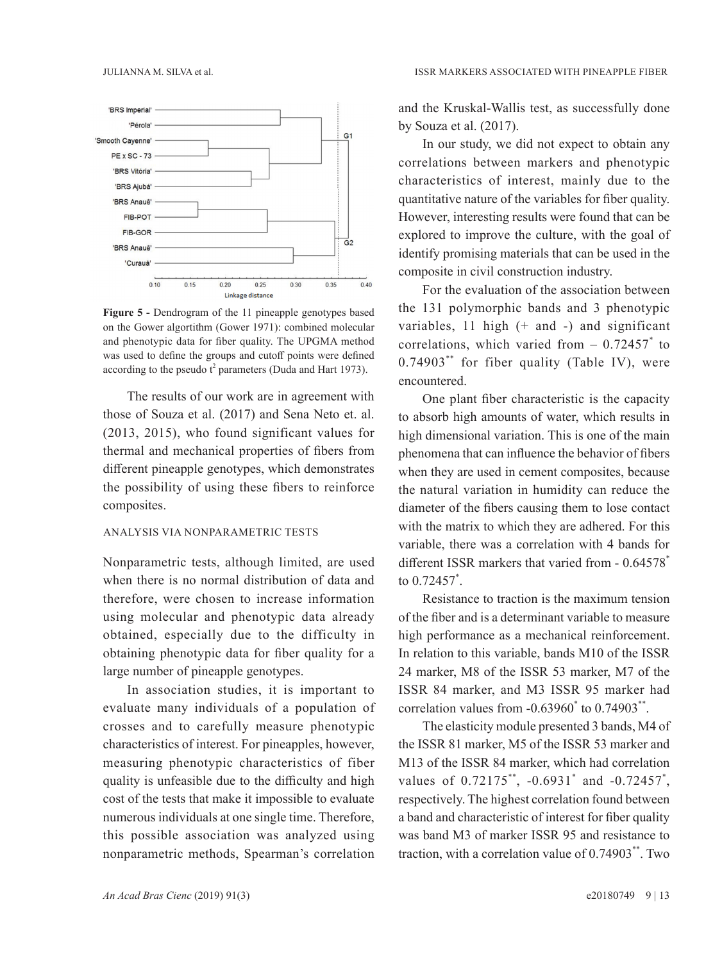

**Figure 5 -** Dendrogram of the 11 pineapple genotypes based on the Gower algortithm (Gower 1971): combined molecular and phenotypic data for fiber quality. The UPGMA method was used to define the groups and cutoff points were defined according to the pseudo  $t^2$  parameters (Duda and Hart 1973).

The results of our work are in agreement with those of Souza et al. (2017) and Sena Neto et. al. (2013, 2015), who found significant values for thermal and mechanical properties of fibers from different pineapple genotypes, which demonstrates the possibility of using these fibers to reinforce composites.

#### ANALYSIS VIA NONPARAMETRIC TESTS

Nonparametric tests, although limited, are used when there is no normal distribution of data and therefore, were chosen to increase information using molecular and phenotypic data already obtained, especially due to the difficulty in obtaining phenotypic data for fiber quality for a large number of pineapple genotypes.

In association studies, it is important to evaluate many individuals of a population of crosses and to carefully measure phenotypic characteristics of interest. For pineapples, however, measuring phenotypic characteristics of fiber quality is unfeasible due to the difficulty and high cost of the tests that make it impossible to evaluate numerous individuals at one single time. Therefore, this possible association was analyzed using nonparametric methods, Spearman's correlation

and the Kruskal-Wallis test, as successfully done by Souza et al. (2017).

In our study, we did not expect to obtain any correlations between markers and phenotypic characteristics of interest, mainly due to the quantitative nature of the variables for fiber quality. However, interesting results were found that can be explored to improve the culture, with the goal of identify promising materials that can be used in the composite in civil construction industry.

For the evaluation of the association between the 131 polymorphic bands and 3 phenotypic variables,  $11$  high  $(+)$  and  $-)$  and significant correlations, which varied from  $-0.72457$  to  $0.74903$ <sup>\*\*</sup> for fiber quality (Table IV), were encountered.

One plant fiber characteristic is the capacity to absorb high amounts of water, which results in high dimensional variation. This is one of the main phenomena that can influence the behavior of fibers when they are used in cement composites, because the natural variation in humidity can reduce the diameter of the fibers causing them to lose contact with the matrix to which they are adhered. For this variable, there was a correlation with 4 bands for different ISSR markers that varied from - 0.64578\* to 0.72457\* .

Resistance to traction is the maximum tension of the fiber and is a determinant variable to measure high performance as a mechanical reinforcement. In relation to this variable, bands M10 of the ISSR 24 marker, M8 of the ISSR 53 marker, M7 of the ISSR 84 marker, and M3 ISSR 95 marker had correlation values from  $-0.63960^{\degree}$  to  $0.74903^{\degree}$ .

The elasticity module presented 3 bands, M4 of the ISSR 81 marker, M5 of the ISSR 53 marker and M13 of the ISSR 84 marker, which had correlation values of  $0.72175^{**}$ ,  $-0.6931^{*}$  and  $-0.72457^{*}$ , respectively. The highest correlation found between a band and characteristic of interest for fiber quality was band M3 of marker ISSR 95 and resistance to traction, with a correlation value of 0.74903\*\*. Two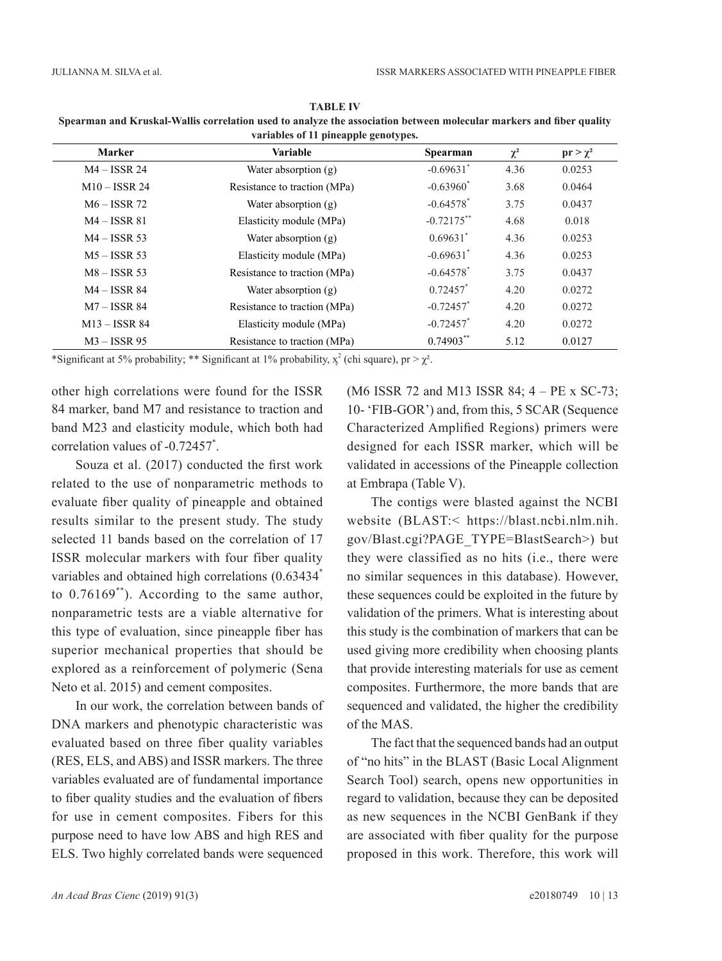| <b>Marker</b>    | <b>Variable</b>              | <b>Spearman</b>         | $\chi^2$ | $pr > \chi^2$ |
|------------------|------------------------------|-------------------------|----------|---------------|
| $M4 - ISSN$ 24   | Water absorption $(g)$       | $-0.69631$              | 4.36     | 0.0253        |
| $M10 - ISSN 24$  | Resistance to traction (MPa) | $-0.63960$ <sup>*</sup> | 3.68     | 0.0464        |
| $M6 - ISSN 72$   | Water absorption $(g)$       | $-0.64578$ <sup>*</sup> | 3.75     | 0.0437        |
| $M4 - ISSN 81$   | Elasticity module (MPa)      | $-0.72175***$           | 4.68     | 0.018         |
| $M4 - ISSN53$    | Water absorption $(g)$       | $0.69631$ <sup>*</sup>  | 4.36     | 0.0253        |
| $M5 - ISSR 53$   | Elasticity module (MPa)      | $-0.69631$ <sup>*</sup> | 4.36     | 0.0253        |
| $M8 - ISSN53$    | Resistance to traction (MPa) | $-0.64578$ <sup>*</sup> | 3.75     | 0.0437        |
| $M4 - ISSN88884$ | Water absorption $(g)$       | $0.72457$ *             | 4.20     | 0.0272        |
| $M7 - ISSN 84$   | Resistance to traction (MPa) | $-0.72457$              | 4.20     | 0.0272        |
| $M13 - ISSN888$  | Elasticity module (MPa)      | $-0.72457$              | 4.20     | 0.0272        |
| $M3 - ISSN$ 95   | Resistance to traction (MPa) | $0.74903$ **            | 5.12     | 0.0127        |

**TABLE IV Spearman and Kruskal-Wallis correlation used to analyze the association between molecular markers and fiber quality variables of 11 pineapple genotypes.**

\*Significant at 5% probability; \*\* Significant at 1% probability,  $x^2$  (chi square), pr >  $\chi^2$ .

other high correlations were found for the ISSR 84 marker, band M7 and resistance to traction and band M23 and elasticity module, which both had correlation values of -0.72457\* .

Souza et al. (2017) conducted the first work related to the use of nonparametric methods to evaluate fiber quality of pineapple and obtained results similar to the present study. The study selected 11 bands based on the correlation of 17 ISSR molecular markers with four fiber quality variables and obtained high correlations  $(0.63434^*)$ to 0.76169\*\*). According to the same author, nonparametric tests are a viable alternative for this type of evaluation, since pineapple fiber has superior mechanical properties that should be explored as a reinforcement of polymeric (Sena Neto et al. 2015) and cement composites.

In our work, the correlation between bands of DNA markers and phenotypic characteristic was evaluated based on three fiber quality variables (RES, ELS, and ABS) and ISSR markers. The three variables evaluated are of fundamental importance to fiber quality studies and the evaluation of fibers for use in cement composites. Fibers for this purpose need to have low ABS and high RES and ELS. Two highly correlated bands were sequenced (M6 ISSR 72 and M13 ISSR 84; 4 – PE x SC-73; 10- 'FIB-GOR') and, from this, 5 SCAR (Sequence Characterized Amplified Regions) primers were designed for each ISSR marker, which will be validated in accessions of the Pineapple collection at Embrapa (Table V).

The contigs were blasted against the NCBI website (BLAST:< https://blast.ncbi.nlm.nih. gov/Blast.cgi?PAGE\_TYPE=BlastSearch>) but they were classified as no hits (i.e., there were no similar sequences in this database). However, these sequences could be exploited in the future by validation of the primers. What is interesting about this study is the combination of markers that can be used giving more credibility when choosing plants that provide interesting materials for use as cement composites. Furthermore, the more bands that are sequenced and validated, the higher the credibility of the MAS.

The fact that the sequenced bands had an output of "no hits" in the BLAST (Basic Local Alignment Search Tool) search, opens new opportunities in regard to validation, because they can be deposited as new sequences in the NCBI GenBank if they are associated with fiber quality for the purpose proposed in this work. Therefore, this work will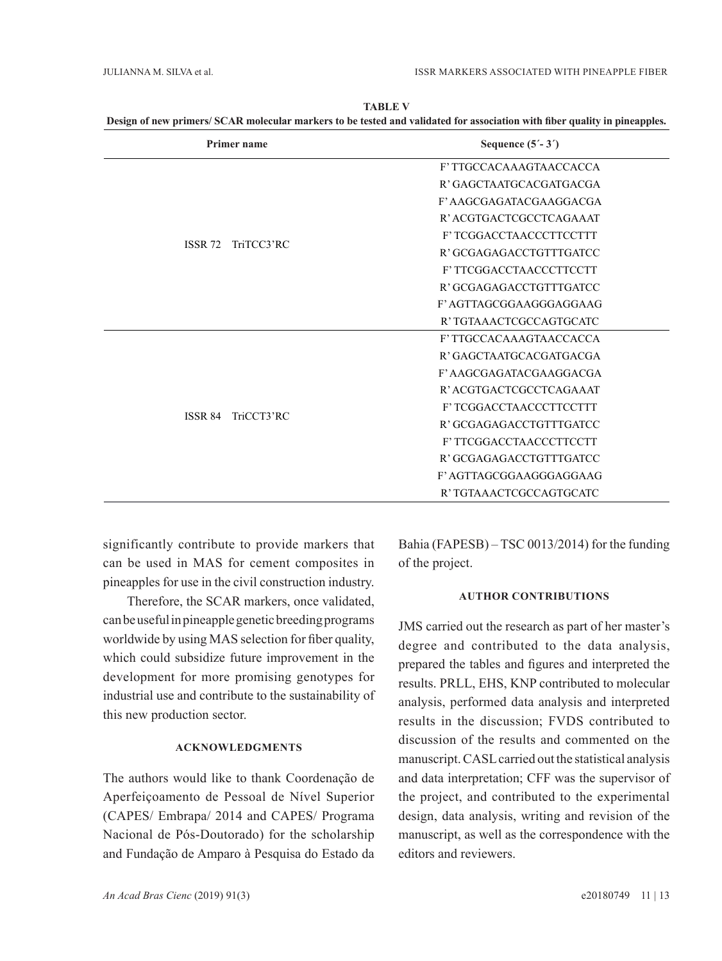| <b>Primer name</b>           | Sequence $(5' - 3')$     |
|------------------------------|--------------------------|
|                              | F' TTGCCACAAAGTAACCACCA  |
|                              | R' GAGCTAATGCACGATGACGA  |
|                              | F' AAGCGAGATACGAAGGACGA  |
|                              | R' ACGTGACTCGCCTCAGAAAT  |
|                              | F'TCGGACCTAACCCTTCCTTT   |
| <b>ISSR 72</b><br>TriTCC3'RC | R' GCGAGAGACCTGTTTGATCC  |
|                              | F' TTCGGACCTAACCCTTCCTT  |
|                              | R' GCGAGAGACCTGTTTGATCC  |
|                              | F' AGTTAGCGGAAGGGAGGAAG  |
|                              | R' TGTAAACTCGCCAGTGCATC  |
|                              | F' TTGCCACAAAGTAACCACCA  |
|                              | R' GAGCTA ATGCACGATGACGA |
|                              | F' AAGCGAGATACGAAGGACGA  |
|                              | R' ACGTGACTCGCCTCAGAAAT  |
| TriCCT3'RC<br><b>ISSR 84</b> | F'TCGGACCTAACCCTTCCTTT   |
|                              | R' GCGAGAGACCTGTTTGATCC  |
|                              | F' TTCGGACCTAACCCTTCCTT  |
|                              | R' GCGAGAGACCTGTTTGATCC  |
|                              | F' AGTTAGCGGAAGGGAGGAAG  |
|                              | R' TGTAAACTCGCCAGTGCATC  |

**TABLE V Design of new primers/ SCAR molecular markers to be tested and validated for association with fiber quality in pineapples.**

significantly contribute to provide markers that can be used in MAS for cement composites in pineapples for use in the civil construction industry.

Therefore, the SCAR markers, once validated, can be useful in pineapple genetic breeding programs worldwide by using MAS selection for fiber quality, which could subsidize future improvement in the development for more promising genotypes for industrial use and contribute to the sustainability of this new production sector.

#### **ACKNOWLEDGMENTS**

The authors would like to thank Coordenação de Aperfeiçoamento de Pessoal de Nível Superior (CAPES/ Embrapa/ 2014 and CAPES/ Programa Nacional de Pós-Doutorado) for the scholarship and Fundação de Amparo à Pesquisa do Estado da

Bahia (FAPESB) – TSC 0013/2014) for the funding of the project.

#### **AUTHOR CONTRIBUTIONS**

JMS carried out the research as part of her master's degree and contributed to the data analysis, prepared the tables and figures and interpreted the results. PRLL, EHS, KNP contributed to molecular analysis, performed data analysis and interpreted results in the discussion; FVDS contributed to discussion of the results and commented on the manuscript. CASL carried out the statistical analysis and data interpretation; CFF was the supervisor of the project, and contributed to the experimental design, data analysis, writing and revision of the manuscript, as well as the correspondence with the editors and reviewers.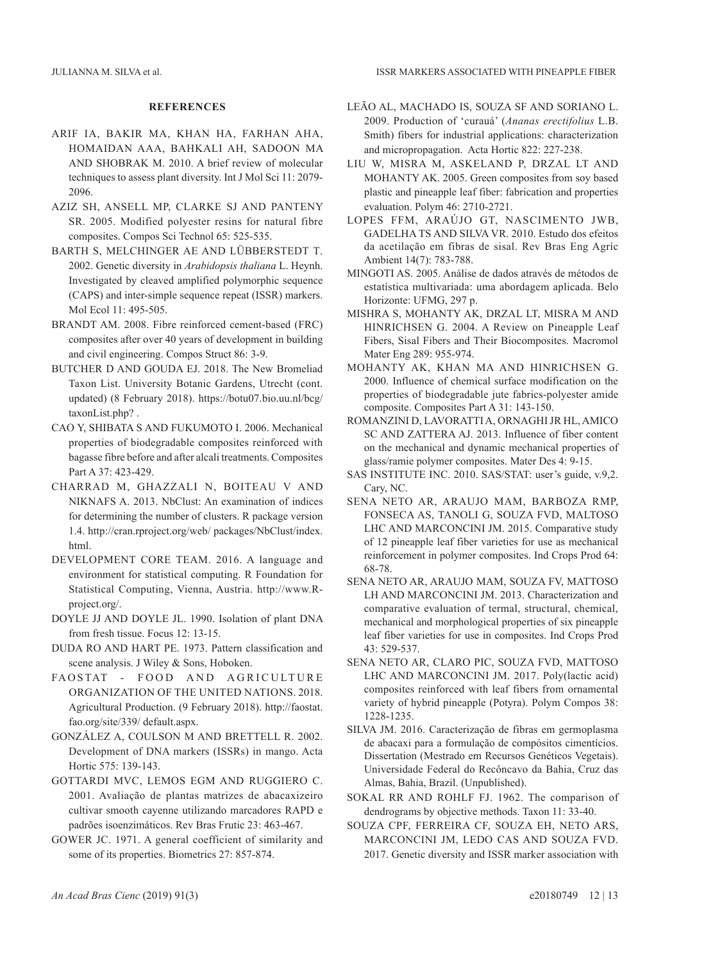#### **REFERENCES**

- ARIF IA, BAKIR MA, KHAN HA, FARHAN AHA, HOMAIDAN AAA, BAHKALI AH, SADOON MA AND SHOBRAK M. 2010. A brief review of molecular techniques to assess plant diversity. Int J Mol Sci 11: 2079- 2096.
- AZIZ SH, ANSELL MP, CLARKE SJ AND PANTENY SR. 2005. Modified polyester resins for natural fibre composites. Compos Sci Technol 65: 525-535.
- BARTH S, MELCHINGER AE AND LÜBBERSTEDT T. 2002. Genetic diversity in *Arabidopsis thaliana* L. Heynh. Investigated by cleaved amplified polymorphic sequence (CAPS) and inter-simple sequence repeat (ISSR) markers. Mol Ecol 11: 495-505.
- BRANDT AM. 2008. Fibre reinforced cement-based (FRC) composites after over 40 years of development in building and civil engineering. Compos Struct 86: 3-9.
- BUTCHER D AND GOUDA EJ. 2018. The New Bromeliad Taxon List. University Botanic Gardens, Utrecht (cont. updated) (8 February 2018). https://botu07.bio.uu.nl/bcg/ taxonList.php? .
- CAO Y, SHIBATA S AND FUKUMOTO I. 2006. Mechanical properties of biodegradable composites reinforced with bagasse fibre before and after alcali treatments. Composites Part A 37: 423-429.
- CHARRAD M, GHAZZALI N, BOITEAU V AND NIKNAFS A. 2013. NbClust: An examination of indices for determining the number of clusters. R package version 1.4. http://cran.rproject.org/web/ packages/NbClust/index. html.
- DEVELOPMENT CORE TEAM. 2016. A language and environment for statistical computing. R Foundation for Statistical Computing, Vienna, Austria. http://www.Rproject.org/.
- DOYLE JJ AND DOYLE JL. 1990. Isolation of plant DNA from fresh tissue. Focus 12: 13-15.
- DUDA RO AND HART PE. 1973. Pattern classification and scene analysis. J Wiley & Sons, Hoboken.
- FAOSTAT FOOD AND AGRICULTURE Organization of the United Nations. 2018. Agricultural Production. (9 February 2018). http://faostat. fao.org/site/339/ default.aspx.
- GONZÁLEZ A, COULSON M AND BRETTELL R. 2002. Development of DNA markers (ISSRs) in mango. Acta Hortic 575: 139-143.
- GOTTARDI MVC, LEMOS EGM AND RUGGIERO C. 2001. Avaliação de plantas matrizes de abacaxizeiro cultivar smooth cayenne utilizando marcadores RAPD e padrões isoenzimáticos. Rev Bras Frutic 23: 463-467.
- GOWER JC. 1971. A general coefficient of similarity and some of its properties. Biometrics 27: 857-874.
- LEÃO AL, MACHADO IS, SOUZA SF AND SORIANO L. 2009. Production of 'curauá' (*Ananas erectifolius* L.B. Smith) fibers for industrial applications: characterization and micropropagation. Acta Hortic 822: 227-238.
- LIU W, MISRA M, ASKELAND P, DRZAL LT AND MOHANTY AK. 2005. Green composites from soy based plastic and pineapple leaf fiber: fabrication and properties evaluation. Polym 46: 2710-2721.
- LOPES FFM, ARAÚJO GT, NASCIMENTO JWB, GADELHA TS AND SILVA VR. 2010. Estudo dos efeitos da acetilação em fibras de sisal. Rev Bras Eng Agríc Ambient 14(7): 783-788.
- MINGOTI AS. 2005. Análise de dados através de métodos de estatística multivariada: uma abordagem aplicada. Belo Horizonte: UFMG, 297 p.
- MISHRA S, MOHANTY AK, DRZAL LT, MISRA M AND HINRICHSEN G. 2004. A Review on Pineapple Leaf Fibers, Sisal Fibers and Their Biocomposites. Macromol Mater Eng 289: 955-974.
- MOHANTY AK, KHAN MA AND HINRICHSEN G. 2000. Influence of chemical surface modification on the properties of biodegradable jute fabrics-polyester amide composite. Composites Part A 31: 143-150.
- ROMANZINI D, LAVORATTI A, ORNAGHI JR HL, AMICO SC AND ZATTERA AJ. 2013. Influence of fiber content on the mechanical and dynamic mechanical properties of glass/ramie polymer composites. Mater Des 4: 9-15.
- SAS INSTITUTE INC. 2010. SAS/STAT: user's guide, v.9,2. Cary, NC.
- SENA NETO AR, ARAUJO MAM, BARBOZA RMP, FONSECA AS, TANOLI G, SOUZA FVD, MALTOSO LHC AND MARCONCINI JM. 2015. Comparative study of 12 pineapple leaf fiber varieties for use as mechanical reinforcement in polymer composites. Ind Crops Prod 64: 68-78.
- SENA NETO AR, ARAUJO MAM, SOUZA FV, MATTOSO LH AND MARCONCINI JM. 2013. Characterization and comparative evaluation of termal, structural, chemical, mechanical and morphological properties of six pineapple leaf fiber varieties for use in composites. Ind Crops Prod 43: 529-537.
- SENA NETO AR, CLARO PIC, SOUZA FVD, MATTOSO LHC AND MARCONCINI JM. 2017. Poly(lactic acid) composites reinforced with leaf fibers from ornamental variety of hybrid pineapple (Potyra). Polym Compos 38: 1228-1235.
- SILVA JM. 2016. Caracterização de fibras em germoplasma de abacaxi para a formulação de compósitos cimentícios. Dissertation (Mestrado em Recursos Genéticos Vegetais). Universidade Federal do Recôncavo da Bahia, Cruz das Almas, Bahia, Brazil. (Unpublished).
- SOKAL RR AND ROHLF FJ. 1962. The comparison of dendrograms by objective methods. Taxon 11: 33-40.
- SOUZA CPF, FERREIRA CF, SOUZA EH, NETO ARS, MARCONCINI JM, LEDO CAS AND SOUZA FVD. 2017. Genetic diversity and ISSR marker association with